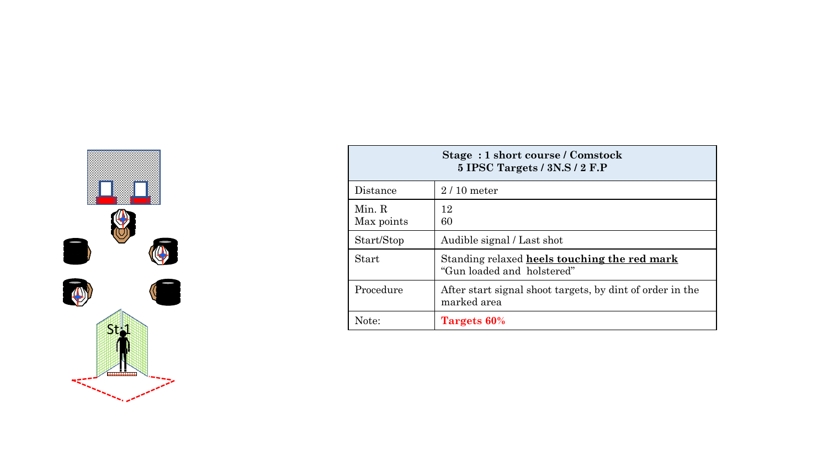

| Stage: 1 short course / Comstock<br>5 IPSC Targets / 3N.S / 2 F.P |                                                                            |  |
|-------------------------------------------------------------------|----------------------------------------------------------------------------|--|
| Distance                                                          | $2/10$ meter                                                               |  |
| Min. R<br>Max points                                              | 12<br>60                                                                   |  |
| Start/Stop                                                        | Audible signal / Last shot                                                 |  |
| <b>Start</b>                                                      | Standing relaxed heels touching the red mark<br>"Gun loaded and holstered" |  |
| Procedure                                                         | After start signal shoot targets, by dint of order in the<br>marked area   |  |
| Note:                                                             | Targets 60%                                                                |  |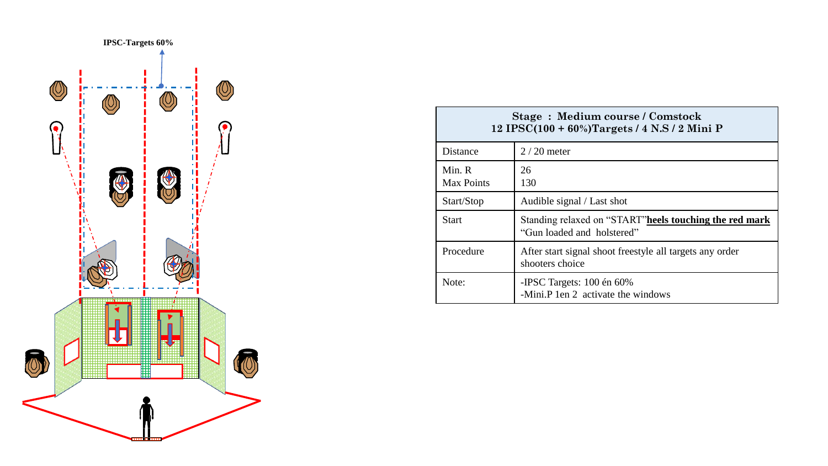

| <b>Stage: Medium course / Comstock</b><br>12 IPSC(100 + 60%)Targets / 4 N.S / 2 Mini P |                                                                                       |  |
|----------------------------------------------------------------------------------------|---------------------------------------------------------------------------------------|--|
| Distance                                                                               | $2/20$ meter                                                                          |  |
| Min. R<br><b>Max Points</b>                                                            | 26<br>130                                                                             |  |
| Start/Stop                                                                             | Audible signal / Last shot                                                            |  |
| Start                                                                                  | Standing relaxed on "START" heels touching the red mark<br>"Gun loaded and holstered" |  |
| Procedure                                                                              | After start signal shoot freestyle all targets any order<br>shooters choice           |  |
| Note:                                                                                  | -IPSC Targets: $100 \text{ én } 60\%$<br>-Mini.P 1 en 2 activate the windows          |  |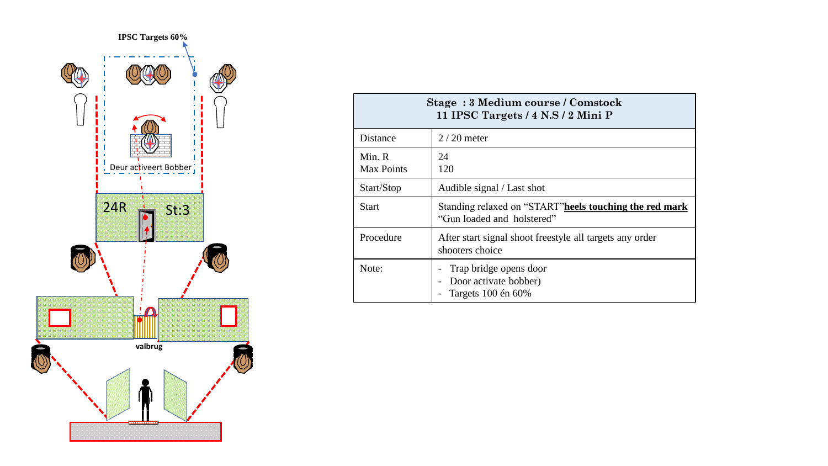

| Stage: 3 Medium course / Comstock<br>11 IPSC Targets / 4 N.S / 2 Mini P |                                                                                       |  |
|-------------------------------------------------------------------------|---------------------------------------------------------------------------------------|--|
| Distance                                                                | $2/20$ meter                                                                          |  |
| Min. R<br><b>Max Points</b>                                             | 24<br>120                                                                             |  |
| Start/Stop                                                              | Audible signal / Last shot                                                            |  |
| <b>Start</b>                                                            | Standing relaxed on "START" heels touching the red mark<br>"Gun loaded and holstered" |  |
| Procedure                                                               | After start signal shoot freestyle all targets any order<br>shooters choice           |  |
| Note:                                                                   | Trap bridge opens door<br>Door activate bobber)<br>Targets 100 én 60%                 |  |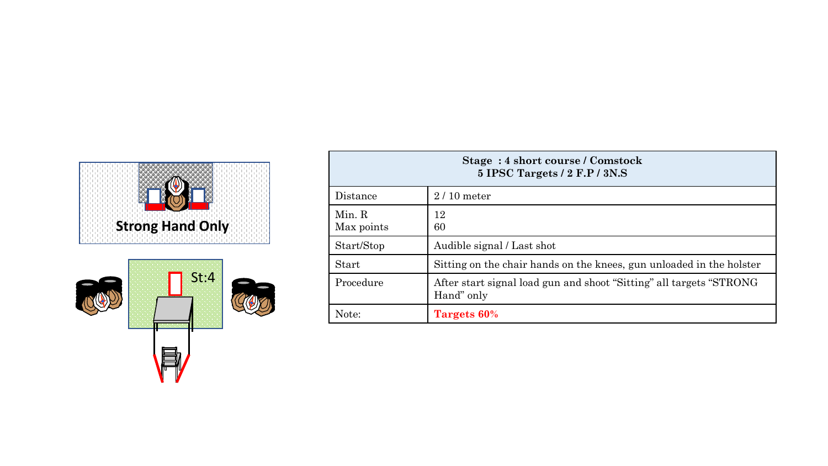



| Stage: 4 short course / Comstock<br>5 IPSC Targets / 2 F.P / 3N.S |                                                                                    |  |
|-------------------------------------------------------------------|------------------------------------------------------------------------------------|--|
| Distance                                                          | $2/10$ meter                                                                       |  |
| Min. R<br>Max points                                              | 12<br>60                                                                           |  |
| Start/Stop                                                        | Audible signal / Last shot                                                         |  |
| Start                                                             | Sitting on the chair hands on the knees, gun unloaded in the holster               |  |
| Procedure                                                         | After start signal load gun and shoot "Sitting" all targets "STRONG"<br>Hand" only |  |
| Note:                                                             | Targets 60%                                                                        |  |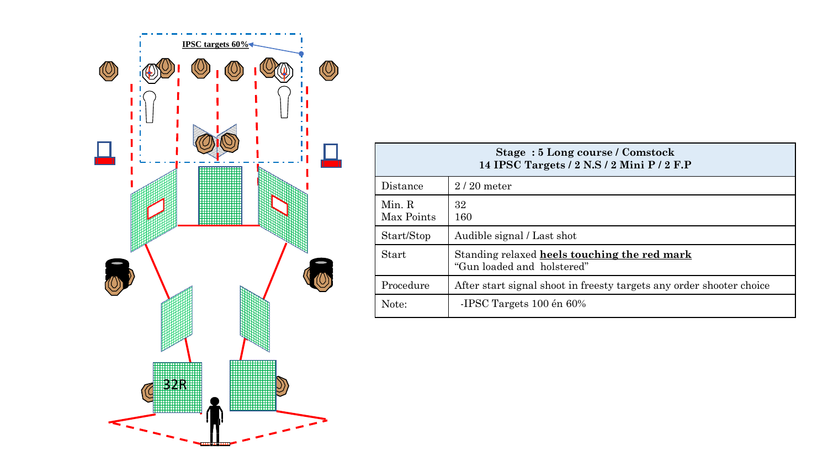

| Stage: 5 Long course / Comstock<br>14 IPSC Targets / 2 N.S / 2 Mini P / 2 F.P |                                                                            |  |
|-------------------------------------------------------------------------------|----------------------------------------------------------------------------|--|
| Distance                                                                      | $2/20$ meter                                                               |  |
| Min. R<br>Max Points                                                          | 32<br>160                                                                  |  |
| Start/Stop                                                                    | Audible signal / Last shot                                                 |  |
| Start                                                                         | Standing relaxed heels touching the red mark<br>"Gun loaded and holstered" |  |
| Procedure                                                                     | After start signal shoot in freesty targets any order shooter choice       |  |
| Note:                                                                         | -IPSC Targets 100 én 60%                                                   |  |